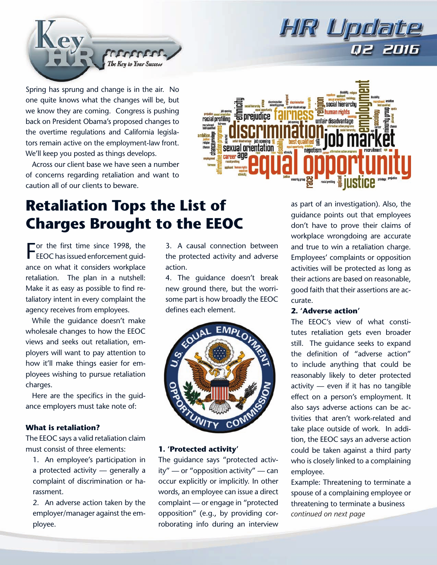

Spring has sprung and change is in the air. No one quite knows what the changes will be, but we know they are coming. Congress is pushing back on President Obama's proposed changes to the overtime regulations and California legislators remain active on the employment-law front. We'll keep you posted as things develops.

Across our client base we have seen a number of concerns regarding retaliation and want to caution all of our clients to beware.

# 듧 preiudice racial profiling ambition sexual orientation career **age**

HIR Updal

# **Retaliation Tops the List of Charges Brought to the EEOC**

For the first time since 1998, the<br>EEOC has issued enforcement guidor the first time since 1998, the ance on what it considers workplace retaliation. The plan in a nutshell: Make it as easy as possible to find retaliatory intent in every complaint the agency receives from employees.

While the guidance doesn't make wholesale changes to how the EEOC views and seeks out retaliation, employers will want to pay attention to how it'll make things easier for employees wishing to pursue retaliation charges.

Here are the specifics in the guidance employers must take note of:

#### **What is retaliation?**

The EEOC says a valid retaliation claim must consist of three elements:

- 1. An employee's participation in a protected activity — generally a complaint of discrimination or harassment.
- 2. An adverse action taken by the employer/manager against the employee.

3. A causal connection between the protected activity and adverse action.

4. The guidance doesn't break new ground there, but the worrisome part is how broadly the EEOC defines each element.



#### **1. 'Protected activity'**

The guidance says "protected activity" — or "opposition activity" — can occur explicitly or implicitly. In other words, an employee can issue a direct complaint — or engage in "protected opposition" (e.g., by providing corroborating info during an interview

as part of an investigation). Also, the guidance points out that employees don't have to prove their claims of workplace wrongdoing are accurate and true to win a retaliation charge. Employees' complaints or opposition activities will be protected as long as their actions are based on reasonable, good faith that their assertions are accurate.

#### **2. 'Adverse action'**

The EEOC's view of what constitutes retaliation gets even broader still. The guidance seeks to expand the definition of "adverse action" to include anything that could be reasonably likely to deter protected activity — even if it has no tangible effect on a person's employment. It also says adverse actions can be activities that aren't work-related and take place outside of work. In addition, the EEOC says an adverse action could be taken against a third party who is closely linked to a complaining employee.

Example: Threatening to terminate a spouse of a complaining employee or threatening to terminate a business *continued on next page*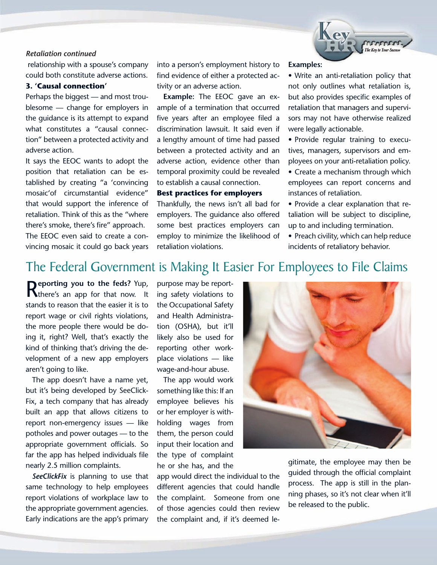#### *Retaliation continued*

 relationship with a spouse's company could both constitute adverse actions.

#### **3. 'Causal connection'**

Perhaps the biggest — and most troublesome — change for employers in the guidance is its attempt to expand what constitutes a "causal connection" between a protected activity and adverse action.

It says the EEOC wants to adopt the position that retaliation can be established by creating "a 'convincing mosaic'of circumstantial evidence" that would support the inference of retaliation. Think of this as the "where there's smoke, there's fire" approach. The EEOC even said to create a convincing mosaic it could go back years

into a person's employment history to find evidence of either a protected activity or an adverse action.

**Example:** The EEOC gave an example of a termination that occurred five years after an employee filed a discrimination lawsuit. It said even if a lengthy amount of time had passed between a protected activity and an adverse action, evidence other than temporal proximity could be revealed to establish a causal connection.

#### **Best practices for employers**

Thankfully, the news isn't all bad for employers. The guidance also offered some best practices employers can employ to minimize the likelihood of retaliation violations.

**Examples:**

• Write an anti-retaliation policy that not only outlines what retaliation is, but also provides specific examples of retaliation that managers and supervisors may not have otherwise realized were legally actionable.

• Provide regular training to executives, managers, supervisors and employees on your anti-retaliation policy.

• Create a mechanism through which employees can report concerns and instances of retaliation.

• Provide a clear explanation that retaliation will be subject to discipline, up to and including termination.

• Preach civility, which can help reduce incidents of retaliatory behavior.

# The Federal Government is Making It Easier For Employees to File Claims

**Reporting you to the feds?** Yup, there's an app for that now. It stands to reason that the easier it is to report wage or civil rights violations, the more people there would be doing it, right? Well, that's exactly the kind of thinking that's driving the development of a new app employers aren't going to like.

The app doesn't have a name yet, but it's being developed by SeeClick-Fix, a tech company that has already built an app that allows citizens to report non-emergency issues — like potholes and power outages — to the appropriate government officials. So far the app has helped individuals file nearly 2.5 million complaints.

*SeeClickFix* is planning to use that same technology to help employees report violations of workplace law to the appropriate government agencies. Early indications are the app's primary purpose may be reporting safety violations to the Occupational Safety and Health Administration (OSHA), but it'll likely also be used for reporting other workplace violations — like wage-and-hour abuse.

The app would work something like this: If an employee believes his or her employer is withholding wages from them, the person could input their location and the type of complaint he or she has, and the

app would direct the individual to the different agencies that could handle the complaint. Someone from one of those agencies could then review the complaint and, if it's deemed le-



gitimate, the employee may then be guided through the official complaint process. The app is still in the planning phases, so it's not clear when it'll be released to the public.

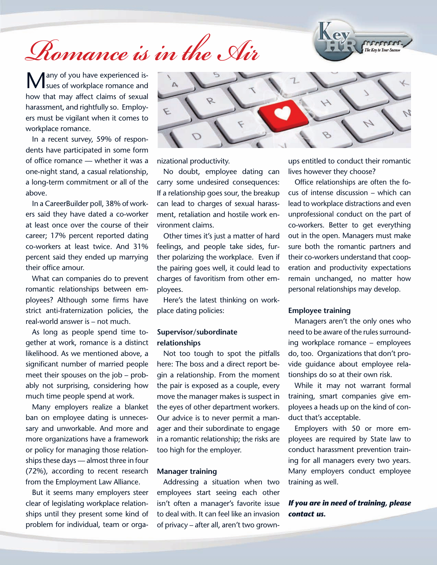# *Romance is in the Air*



Many of you have experienced is-<br> **M** sues of workplace romance and how that may affect claims of sexual harassment, and rightfully so. Employers must be vigilant when it comes to workplace romance.

In a recent survey, 59% of respondents have participated in some form of office romance — whether it was a one-night stand, a casual relationship, a long-term commitment or all of the above.

In a CareerBuilder poll, 38% of workers said they have dated a co-worker at least once over the course of their career; 17% percent reported dating co-workers at least twice. And 31% percent said they ended up marrying their office amour.

What can companies do to prevent romantic relationships between employees? Although some firms have strict anti-fraternization policies, the real-world answer is – not much.

As long as people spend time together at work, romance is a distinct likelihood. As we mentioned above, a significant number of married people meet their spouses on the job – probably not surprising, considering how much time people spend at work.

Many employers realize a blanket ban on employee dating is unnecessary and unworkable. And more and more organizations have a framework or policy for managing those relationships these days — almost three in four (72%), according to recent research from the Employment Law Alliance.

But it seems many employers steer clear of legislating workplace relationships until they present some kind of problem for individual, team or orga-



nizational productivity.

No doubt, employee dating can carry some undesired consequences: If a relationship goes sour, the breakup can lead to charges of sexual harassment, retaliation and hostile work environment claims.

Other times it's just a matter of hard feelings, and people take sides, further polarizing the workplace. Even if the pairing goes well, it could lead to charges of favoritism from other employees.

Here's the latest thinking on workplace dating policies:

#### **Supervisor/subordinate relationships**

Not too tough to spot the pitfalls here: The boss and a direct report begin a relationship. From the moment the pair is exposed as a couple, every move the manager makes is suspect in the eyes of other department workers. Our advice is to never permit a manager and their subordinate to engage in a romantic relationship; the risks are too high for the employer.

#### **Manager training**

Addressing a situation when two employees start seeing each other isn't often a manager's favorite issue to deal with. It can feel like an invasion of privacy – after all, aren't two grownups entitled to conduct their romantic lives however they choose?

Office relationships are often the focus of intense discussion – which can lead to workplace distractions and even unprofessional conduct on the part of co-workers. Better to get everything out in the open. Managers must make sure both the romantic partners and their co-workers understand that cooperation and productivity expectations remain unchanged, no matter how personal relationships may develop.

#### **Employee training**

Managers aren't the only ones who need to be aware of the rules surrounding workplace romance – employees do, too. Organizations that don't provide guidance about employee relationships do so at their own risk.

While it may not warrant formal training, smart companies give employees a heads up on the kind of conduct that's acceptable.

Employers with 50 or more employees are required by State law to conduct harassment prevention training for all managers every two years. Many employers conduct employee training as well.

*If you are in need of training, please contact us.*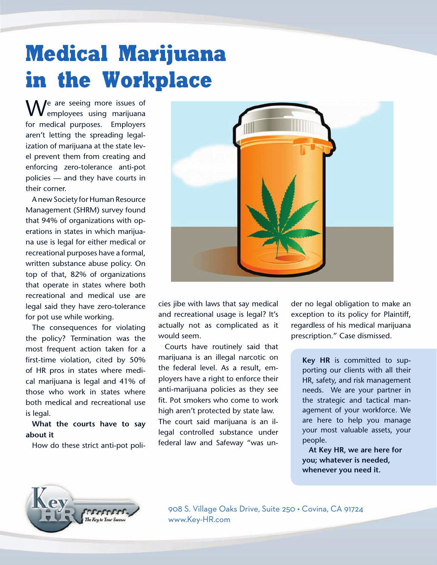# **Medical Marijuana in the Workplace**

 $\mathbf{M}$   $\ell$  are seeing more issues of employees using marijuana for medical purposes. Employers aren't letting the spreading legalization of marijuana at the state level prevent them from creating and enforcing zero-tolerance anti-pot policies — and they have courts in their corner.

A new Society for Human Resource Management (SHRM) survey found that 94% of organizations with operations in states in which marijuana use is legal for either medical or recreational purposes have a formal, written substance abuse policy. On top of that, 82% of organizations that operate in states where both recreational and medical use are legal said they have zero-tolerance for pot use while working.

The consequences for violating the policy? Termination was the most frequent action taken for a first-time violation, cited by 50% of HR pros in states where medical marijuana is legal and 41% of those who work in states where both medical and recreational use is legal.

**What the courts have to say about it**

How do these strict anti-pot poli-



cies jibe with laws that say medical and recreational usage is legal? It's actually not as complicated as it would seem.

Courts have routinely said that marijuana is an illegal narcotic on the federal level. As a result, employers have a right to enforce their anti-marijuana policies as they see fit. Pot smokers who come to work high aren't protected by state law. The court said marijuana is an illegal controlled substance under federal law and Safeway "was under no legal obligation to make an exception to its policy for Plaintiff, regardless of his medical marijuana prescription." Case dismissed.

**Key HR** is committed to supporting our clients with all their HR, safety, and risk management needs. We are your partner in the strategic and tactical management of your workforce. We are here to help you manage your most valuable assets, your people.

**At Key HR, we are here for you; whatever is needed, whenever you need it.** 



908 S. Village Oaks Drive, Suite 250 • Covina, CA 91724 www.Key-HR.com